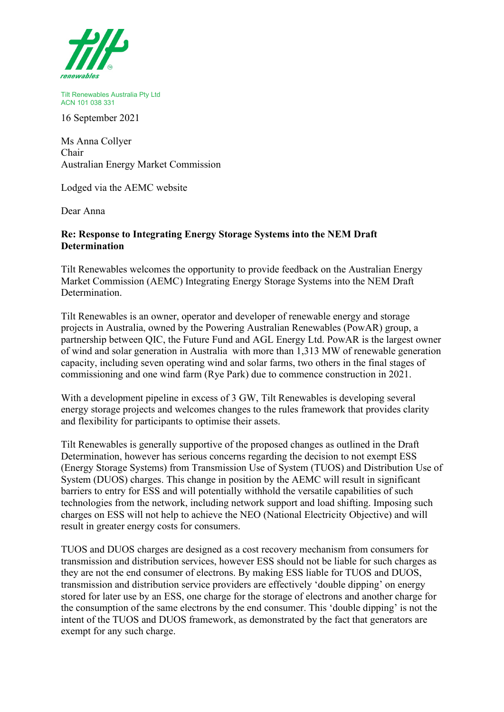

Tilt Renewables Australia Pty Ltd ACN 101 038 331

16 September 2021

Ms Anna Collyer Chair Australian Energy Market Commission

Lodged via the AEMC website

Dear Anna

## **Re: Response to Integrating Energy Storage Systems into the NEM Draft Determination**

Tilt Renewables welcomes the opportunity to provide feedback on the Australian Energy Market Commission (AEMC) Integrating Energy Storage Systems into the NEM Draft Determination.

Tilt Renewables is an owner, operator and developer of renewable energy and storage projects in Australia, owned by the Powering Australian Renewables (PowAR) group, a partnership between QIC, the Future Fund and AGL Energy Ltd. PowAR is the largest owner of wind and solar generation in Australia with more than 1,313 MW of renewable generation capacity, including seven operating wind and solar farms, two others in the final stages of commissioning and one wind farm (Rye Park) due to commence construction in 2021.

With a development pipeline in excess of 3 GW, Tilt Renewables is developing several energy storage projects and welcomes changes to the rules framework that provides clarity and flexibility for participants to optimise their assets.

Tilt Renewables is generally supportive of the proposed changes as outlined in the Draft Determination, however has serious concerns regarding the decision to not exempt ESS (Energy Storage Systems) from Transmission Use of System (TUOS) and Distribution Use of System (DUOS) charges. This change in position by the AEMC will result in significant barriers to entry for ESS and will potentially withhold the versatile capabilities of such technologies from the network, including network support and load shifting. Imposing such charges on ESS will not help to achieve the NEO (National Electricity Objective) and will result in greater energy costs for consumers.

TUOS and DUOS charges are designed as a cost recovery mechanism from consumers for transmission and distribution services, however ESS should not be liable for such charges as they are not the end consumer of electrons. By making ESS liable for TUOS and DUOS, transmission and distribution service providers are effectively 'double dipping' on energy stored for later use by an ESS, one charge for the storage of electrons and another charge for the consumption of the same electrons by the end consumer. This 'double dipping' is not the intent of the TUOS and DUOS framework, as demonstrated by the fact that generators are exempt for any such charge.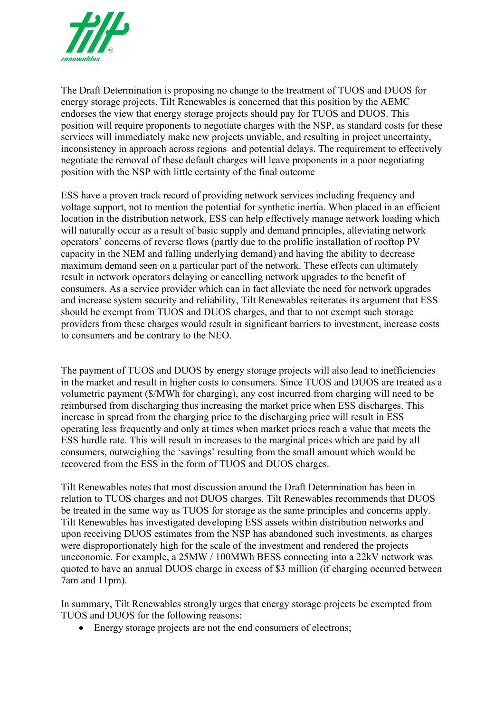

The Draft Determination is proposing no change to the treatment of TUOS and DUOS for energy storage projects. Tilt Renewables is concerned that this position by the AEMC endorses the view that energy storage projects should pay for TUOS and DUOS. This position will require proponents to negotiate charges with the NSP, as standard costs for these services will immediately make new projects unviable, and resulting in project uncertainty, inconsistency in approach across regions and potential delays. The requirement to effectively negotiate the removal of these default charges will leave proponents in a poor negotiating position with the NSP with little certainty of the final outcome

ESS have a proven track record of providing network services including frequency and voltage support, not to mention the potential for synthetic inertia. When placed in an efficient location in the distribution network, ESS can help effectively manage network loading which will naturally occur as a result of basic supply and demand principles, alleviating network operators' concerns of reverse flows (partly due to the prolific installation of rooftop PV capacity in the NEM and falling underlying demand) and having the ability to decrease maximum demand seen on a particular part of the network. These effects can ultimately result in network operators delaying or cancelling network upgrades to the benefit of consumers. As a service provider which can in fact alleviate the need for network upgrades and increase system security and reliability, Tilt Renewables reiterates its argument that ESS should be exempt from TUOS and DUOS charges, and that to not exempt such storage providers from these charges would result in significant barriers to investment, increase costs to consumers and be contrary to the NEO.

The payment of TUOS and DUOS by energy storage projects will also lead to inefficiencies in the market and result in higher costs to consumers. Since TUOS and DUOS are treated as a volumetric payment (\$/MWh for charging), any cost incurred from charging will need to be reimbursed from discharging thus increasing the market price when ESS discharges. This increase in spread from the charging price to the discharging price will result in ESS operating less frequently and only at times when market prices reach a value that meets the ESS hurdle rate. This will result in increases to the marginal prices which are paid by all consumers, outweighing the 'savings' resulting from the small amount which would be recovered from the ESS in the form of TUOS and DUOS charges.

Tilt Renewables notes that most discussion around the Draft Determination has been in relation to TUOS charges and not DUOS charges. Tilt Renewables recommends that DUOS be treated in the same way as TUOS for storage as the same principles and concerns apply. Tilt Renewables has investigated developing ESS assets within distribution networks and upon receiving DUOS estimates from the NSP has abandoned such investments, as charges were disproportionately high for the scale of the investment and rendered the projects uneconomic. For example, a 25MW / 100MWh BESS connecting into a 22kV network was quoted to have an annual DUOS charge in excess of \$3 million (if charging occurred between 7am and 11pm).

In summary, Tilt Renewables strongly urges that energy storage projects be exempted from TUOS and DUOS for the following reasons:

• Energy storage projects are not the end consumers of electrons;